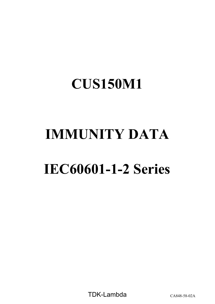# **IMMUNITY DATA**

# **IEC60601-1-2 Series**

TDK-Lambda CA848-58-02A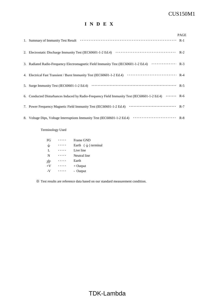## **I N D E X**

|                                                                                                                                                                                                                                                                                                                          | <b>PAGE</b> |
|--------------------------------------------------------------------------------------------------------------------------------------------------------------------------------------------------------------------------------------------------------------------------------------------------------------------------|-------------|
| 1. Summary of Immunity Test Result (1) (1) The Result (1) The Result of Result (1) The Result of Result (1) The Result of Result (1) The Result of Result (1) The Result of Result (1) The Result of Result and Section 2 and                                                                                            |             |
|                                                                                                                                                                                                                                                                                                                          |             |
| 3. Radiated Radio-Frequency Electromagnetic Field Immunity Test (IEC60601-1-2 Ed.4) ················ R-3                                                                                                                                                                                                                 |             |
|                                                                                                                                                                                                                                                                                                                          |             |
| 5. Surge Immunity Test (IEC60601-1-2 Ed.4) $\cdots$ $\cdots$ $\cdots$ $\cdots$ $\cdots$ $\cdots$ $\cdots$ $\cdots$ $\cdots$ $\cdots$ $\cdots$ $\cdots$ $\cdots$ $\cdots$ $\cdots$ $\cdots$ $\cdots$ $\cdots$ $\cdots$ $\cdots$ $\cdots$ $\cdots$ $\cdots$ $\cdots$ $\cdots$ $\cdots$ $\cdots$ $\cdots$ $\cdots$ $\cdots$ |             |
| 6. Conducted Disturbances Induced by Radio-Frequency Field Immunity Test (IEC60601-1-2 Ed.4)  R-6                                                                                                                                                                                                                        |             |
|                                                                                                                                                                                                                                                                                                                          |             |
|                                                                                                                                                                                                                                                                                                                          |             |

Terminology Used

| FG                   | Frame GND              |  |
|----------------------|------------------------|--|
| $\pm$                | Earth $(\pm)$ terminal |  |
| L                    | Live line              |  |
| N                    | Neutral line           |  |
| $\frac{1}{\sqrt{2}}$ | Earth                  |  |
| $+V$                 | $+$ Output             |  |
| -V                   | - Output               |  |

※ Test results are reference data based on our standard measurement condition.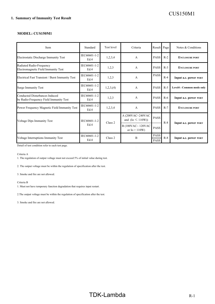#### **MODEL: CUS150M1**

| Item                                                                     | Standard             | Test level | Criteria                                  | Result Page                |       | Notes & Conditions        |
|--------------------------------------------------------------------------|----------------------|------------|-------------------------------------------|----------------------------|-------|---------------------------|
| Electrostatic Discharge Immunity Test                                    | IEC60601-1-2<br>Ed.4 | 1,2,3,4    | $\overline{A}$                            | <b>PASS</b>                | $R-2$ | <b>ENCLOSURE PORT</b>     |
| Radiated Radio-Frequency<br>Electromagnetic Field Immunity Test          | IEC60601-1-2<br>Ed.4 | 1,2,3      | A                                         | <b>PASS</b>                | $R-3$ | <b>ENCLOSURE PORT</b>     |
| Electrical Fast Transient / Burst Immunity Test                          | IEC60601-1-2<br>Ed.4 | 1,2,3      | A                                         | <b>PASS</b>                | $R-4$ | Input a.c. power PORT     |
| <b>Surge Immunity Test</b>                                               | IEC60601-1-2<br>Ed.4 | 1,2,3, (4) | A                                         | <b>PASS</b>                | $R-5$ | Level4 : Common mode only |
| Conducted Disturbances Induced<br>by Radio-Frequency Field Immunity Test | IEC60601-1-2<br>Ed.4 | 1,2,3      | A                                         | <b>PASS</b>                | $R-6$ | Input a.c. power PORT     |
| Power Frequency Magnetic Field Immunity Test                             | IEC60601-1-2<br>Ed.4 | 1,2,3,4    | $\overline{A}$                            | <b>PASS</b>                | $R-7$ | <b>ENCLOSURE PORT</b>     |
| Voltage Dips Immunity Test                                               | IEC60601-1-2         | Class 2    | A (200VAC~240VAC)<br>and $(Io \le 110W))$ | <b>PASS</b>                | $R-8$ |                           |
|                                                                          | Ed.4                 |            | B (100VAC~120VAC<br>or $Io > 110W$        | <b>PASS</b>                |       | Input a.c. power PORT     |
| Voltage Interruptions Immunity Test                                      | IEC60601-1-2<br>Ed.4 | Class 2    | B                                         | <b>PASS</b><br><b>PASS</b> | $R-8$ | Input a.c. power PORT     |

Detail of test condition refer to each test page.

Criteria A

1. The regulation of output voltage must not exceed 5% of initial value during test.

2. The output voltage must be within the regulation of specification after the test.

3. Smoke and fire are not allowed.

#### Criteria B

1. Must not have temporary function degradation that requires input restart.

2.The output voltage must be within the regulation of specification after the test.

3. Smoke and fire are not allowed.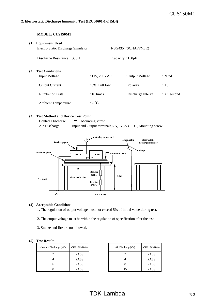#### **2. Electrostatic Discharge Immunity Test (IEC60601-1-2 Ed.4)**

#### **MODEL: CUS150M1**

| (1) | <b>Equipment Used</b>              |                 |                      |                   |
|-----|------------------------------------|-----------------|----------------------|-------------------|
|     | Electro Static Discharge Simulator |                 | :NSG435 (SCHAFFNER)  |                   |
|     | Discharge Resistance : $330\Omega$ | Capacity: 150pF |                      |                   |
| (2) | <b>Test Conditions</b>             |                 |                      |                   |
|     | •Input Voltage                     | :115,230VAC     | •Output Voltage      | : Rated           |
|     | $\cdot$ Output Current             | :0%, Full load  | • Polarity           | $: +, -$          |
|     | •Number of Tests                   | $:10 \times$    | • Discharge Interval | $\div$ > 1 second |
|     | • Ambient Temperature              | :25°C           |                      |                   |

#### **(3) Test Method and Device Test Point**

Contact Discharge :  $\frac{1}{x}$ , Mounting screw. Air Discharge : Input and Output terminal  $(L, N, +V, -V)$ ,  $\frac{1}{\epsilon}$ , Mounting screw



#### **(4) Acceptable Conditions**

1. The regulation of output voltage must not exceed 5% of initial value during test.

- 2. The output voltage must be within the regulation of specification after the test.
- 3. Smoke and fire are not allowed.

#### **(5) Test Result**

| Contact Discharge (kV) | CUS150M1-18 | Air Discharge(kV) |
|------------------------|-------------|-------------------|
|                        | <b>PASS</b> |                   |
|                        | <b>PASS</b> |                   |
|                        | <b>PASS</b> |                   |
|                        | <b>PASS</b> |                   |

| CUS150M1-18 | Air Discharge(kV) | CUS150M1-18 |
|-------------|-------------------|-------------|
| <b>PASS</b> |                   | <b>PASS</b> |
| <b>PASS</b> |                   | <b>PASS</b> |
| <b>PASS</b> |                   | <b>PASS</b> |
| <b>PASS</b> |                   | <b>PASS</b> |

# $TDK-Lambda$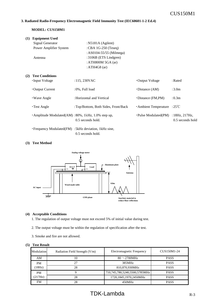#### **3. Radiated Radio-Frequency Electromagnetic Field Immunity Test (IEC60601-1-2 Ed.4)**

#### **MODEL: CUS150M1**

| (1) | <b>Equipment Used</b>                                     |                                             |                          |                                   |
|-----|-----------------------------------------------------------|---------------------------------------------|--------------------------|-----------------------------------|
|     | Signal Generator                                          | : $N5181A$ (Agilent)                        |                          |                                   |
|     | Power Amplifier System                                    | : CBA $1G-250$ (Teseq)                      |                          |                                   |
|     | Antenna                                                   | : AS0104-55/55 (Milmega)                    |                          |                                   |
|     |                                                           | :3106B (ETS Lindgren)<br>: ATH800M 5GA (ar) |                          |                                   |
|     |                                                           | : ATH4G8 $(ar)$                             |                          |                                   |
| (2) | <b>Test Conditions</b>                                    |                                             |                          |                                   |
|     | •Input Voltage                                            | : 115, 230VAC                               | •Output Voltage          | : Rated                           |
|     | $\cdot$ Output Current                                    | $:0\%$ , Full load                          | $\cdot$ Distance (AM)    | :3.0 <sub>m</sub>                 |
|     | • Wave Angle                                              | : Horizontal and Vertical                   | $\cdot$ Distance (FM,PM) | : 0.3m                            |
|     | $\cdot$ Test Angle                                        | : Top/Bottom, Both Sides, Front/Back        | · Ambient Temperature    | :25°C                             |
|     | $\cdot$ Amplitude Modulated(AM): 80%, 1kHz, 1.0% step up, | $0.5$ seconds hold.                         | • Pulse Modulated(PM)    | :18Hz, 217Hz,<br>0.5 seconds hold |
|     |                                                           |                                             |                          |                                   |

・Frequency Modulated(FM) :5kHz deviation, 1kHz sine, 0.5 seconds hold.

#### **(3) Test Method**



#### **(4) Acceptable Conditions**

1. The regulation of output voltage must not exceed 5% of initial value during test.

2. The output voltage must be within the regulation of specification after the test.

3. Smoke and fire are not allowed.

| Modulation | Radiation Field Strength (V/m) | Electromagnetic Frequency     | CUS150M1-24 |
|------------|--------------------------------|-------------------------------|-------------|
| AM         | 10                             | $80 \sim 2700$ MHz            | <b>PASS</b> |
| <b>PM</b>  | 27                             | 385MHz                        | <b>PASS</b> |
| (18Hz)     | 28                             | 810,870,930MHz                | <b>PASS</b> |
| <b>PM</b>  |                                | 710,745,780,5240,5500,5785MHz | <b>PASS</b> |
| (217Hz)    | 28                             | 1720,1845,1970,2450MHz        | <b>PASS</b> |
| FM         | 28                             | 450MHz                        | <b>PASS</b> |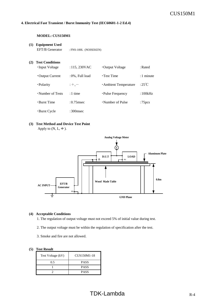#### **4. Electrical Fast Transient / Burst Immunity Test (IEC60601-1-2 Ed.4)**

#### **MODEL: CUS150M1**

#### **(1) Equipment Used**

EFT/B Generator : FNS-100L (NOISEKEN)

#### **(2) Test Conditions**

| •Input Voltage         | $: 115, 230$ VAC   | • Output Voltage      | : Rated   |
|------------------------|--------------------|-----------------------|-----------|
| $\cdot$ Output Current | $:0\%$ , Full load | $\cdot$ Test Time     | :1 minute |
| · Polarity             | $: +, -$           | · Ambient Temperature | :25°C     |
| •Number of Tests       | $:1$ time          | • Pulse Frequency     | :100kHz   |
| •Burst Time            | $:0.75$ msec       | •Number of Pulse      | :75 $pcs$ |
| • Burst Cycle          | :300msec           |                       |           |

#### **(3) Test Method and Device Test Point**

Apply to  $(N, L, \frac{1}{\tau})$ .



#### **(4) Acceptable Conditions**

1. The regulation of output voltage must not exceed 5% of initial value during test.

- 2. The output voltage must be within the regulation of specification after the test.
- 3. Smoke and fire are not allowed.

| Test Voltage (kV) | CUS150M1-18 |
|-------------------|-------------|
| 0.5               | <b>PASS</b> |
|                   | <b>PASS</b> |
|                   | <b>PASS</b> |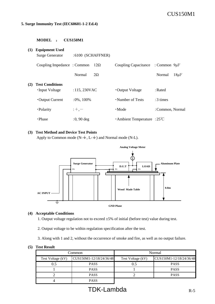### **5. Surge Immunity Test (IEC60601-1-2 Ed.4)**

#### **MODEL** : **CUS150M1**

| (1) | <b>Equipment Used</b><br><b>Surge Generator</b> | $:6100$ (SCHAFFNER) |                                        |                     |
|-----|-------------------------------------------------|---------------------|----------------------------------------|---------------------|
|     | Coupling Impedance: Common                      | $12\Omega$          | Coupling Capacitance : Common $9\mu$ F |                     |
|     |                                                 | $2\Omega$<br>Normal |                                        | $18\mu$ F<br>Normal |
| (2) | <b>Test Conditions</b><br>•Input Voltage        | : 115, 230VAC       | •Output Voltage                        | : Rated             |
|     | • Output Current                                | $:0\%$ , 100\%      | •Number of Tests                       | $:3 \times$         |
|     | ·Polarity                                       | $: +, -$            | $\cdot$ Mode                           | : Common, Normal    |
|     | $\cdot$ Phase                                   | $:0,90$ deg         | $\cdot$ Ambient Temperature : 25°C     |                     |

#### **(3) Test Method and Device Test Points**

Apply to Common mode (N- $\pm$ , L- $\pm$ ) and Normal mode (N-L).



#### **(4) Acceptable Conditions**

1. Output voltage regulation not to exceed ±5% of initial (before test) value during test.

2. Output voltage to be within regulation specification after the test.

3. Along with 1 and 2, without the occurrence of smoke and fire, as well as no output failure.

|                   | Common                  | Normal            |                         |  |
|-------------------|-------------------------|-------------------|-------------------------|--|
| Test Voltage (kV) | CUS150M1-12/18/24/36/48 | Test Voltage (kV) | CUS150M1-12/18/24/36/48 |  |
| 0.5               | <b>PASS</b>             | $0.5\,$           | <b>PASS</b>             |  |
|                   | <b>PASS</b>             |                   | <b>PASS</b>             |  |
|                   | <b>PASS</b>             |                   | <b>PASS</b>             |  |
|                   | <b>PASS</b>             |                   |                         |  |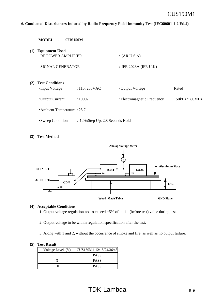#### **6. Conducted Disturbances Induced by Radio-Frequency Field Immunity Test (IEC60601-1-2 Ed.4)**

|     | <b>MODEL</b><br>$\bullet$                          | <b>CUS150M1</b>                     |                             |                      |
|-----|----------------------------------------------------|-------------------------------------|-----------------------------|----------------------|
| (1) | <b>Equipment Used</b><br><b>RF POWER AMPLIFIER</b> |                                     | : (AR U.S.A)                |                      |
|     | SIGNAL GENERATOR                                   |                                     | : IFR 2023A (IFR U.K)       |                      |
| (2) | <b>Test Conditions</b><br><b>·Input Voltage</b>    | :115, 230VAC                        | • Output Voltage            | : Rated              |
|     | • Output Current                                   | $:100\%$                            | • Electromagnetic Frequency | :150kHz $\sim$ 80MHz |
|     | $\cdot$ Ambient Temperature : 25°C                 |                                     |                             |                      |
|     | • Sweep Condition                                  | $: 1.0\%$ Step Up, 2.8 Seconds Hold |                             |                      |

**(3) Test Method**



#### **(4) Acceptable Conditions**

1. Output voltage regulation not to exceed ±5% of initial (before test) value during test.

2. Output voltage to be within regulation specification after the test.

3. Along with 1 and 2, without the occurrence of smoke and fire, as well as no output failure.

| Voltage Level (V) | CUS150M1-12/18/24/36/48 |
|-------------------|-------------------------|
|                   | <b>PASS</b>             |
|                   | <b>PASS</b>             |
|                   | <b>PASS</b>             |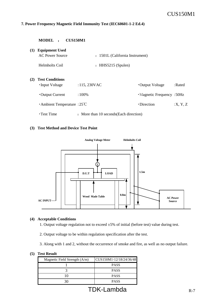#### **7. Power Frequency Magnetic Field Immunity Test (IEC60601-1-2 Ed.4)**

|     | <b>CUS150M1</b><br><b>MODEL</b>                 |                                         |                                  |         |
|-----|-------------------------------------------------|-----------------------------------------|----------------------------------|---------|
| (1) | <b>Equipment Used</b><br><b>AC Power Source</b> | : 1501L (California Instrument)         |                                  |         |
|     | Helmholts Coil                                  | : HHS5215 (Spulen)                      |                                  |         |
| (2) | <b>Test Conditions</b><br>•Input Voltage        | :115,230VAC                             | •Output Voltage                  | : Rated |
|     | • Output Current                                | $:100\%$                                | $\cdot$ Magnetic Frequency: 50Hz |         |
|     | Ambient Temperature : $25^{\circ}$ C            |                                         | $\cdot$ Direction                | X, Y, Z |
|     | $\cdot$ Test Time                               | : More than 10 seconds (Each direction) |                                  |         |

#### **(3) Test Method and Device Test Point**



#### **(4) Acceptable Conditions**

1. Output voltage regulation not to exceed ±5% of initial (before test) value during test.

2. Output voltage to be within regulation specification after the test.

3. Along with 1 and 2, without the occurrence of smoke and fire, as well as no output failure.

| Magnetic Field Strength $(A/m)$ | CUS150M1-12/18/24/36/48 |
|---------------------------------|-------------------------|
|                                 | <b>PASS</b>             |
|                                 | <b>PASS</b>             |
|                                 | <b>PASS</b>             |
|                                 | <b>PASS</b>             |